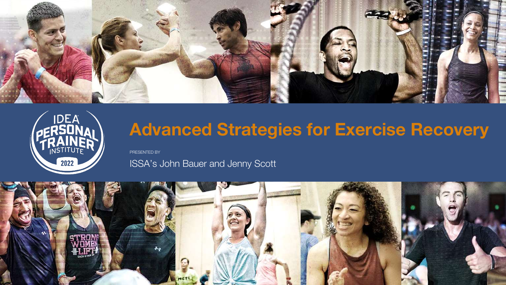PRESENTED BY





## **Advanced Strategies for Exercise Recovery**

## ISSA's John Bauer and Jenny Scott





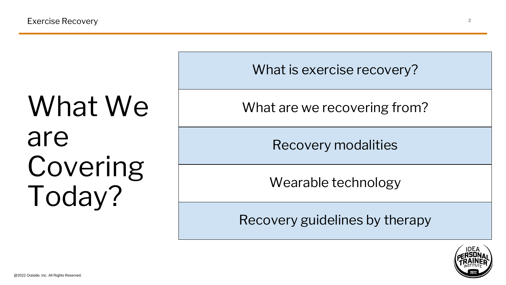# What We are Covering Today?



What is exercise recovery?

What are we recovering from?

Recovery modalities

Wearable technology

Recovery guidelines by therapy

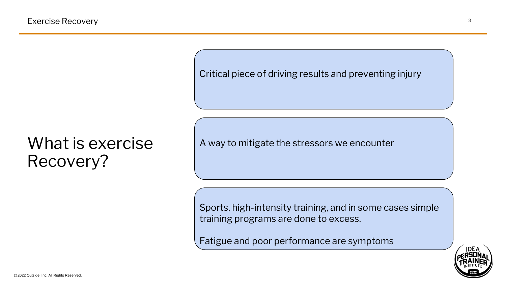## What is exercise Recovery?

Sports, high-intensity training, and in some cases simple training programs are done to excess.

Fatigue and poor performance are symptoms



A way to mitigate the stressors we encounter

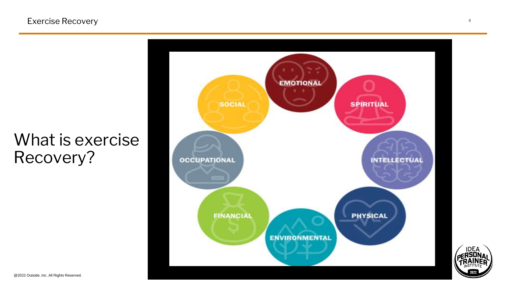## What is exercise Recovery?

**SOCIAL OCCUPATIONAL FINANCIAL** 



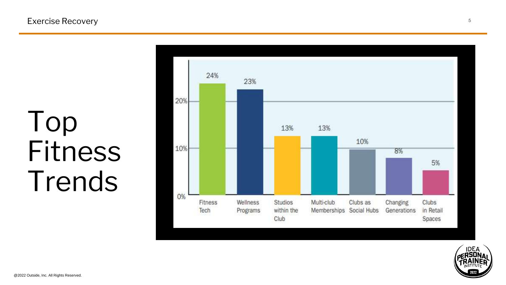## Top Fitness Trends





#### Exercise Recovery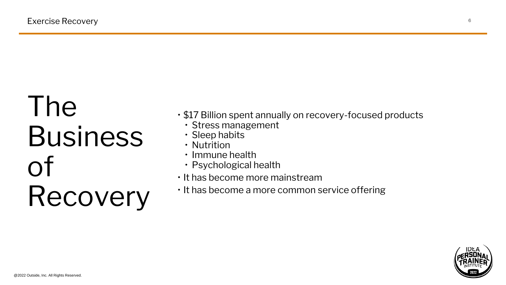# The Business of Recovery

• \$17 Billion spent annually on recovery-focused products



- - Stress management
	- Sleep habits
	- Nutrition
	- Immune health
	- Psychological health
- It has become more mainstream
- It has become a more common service offering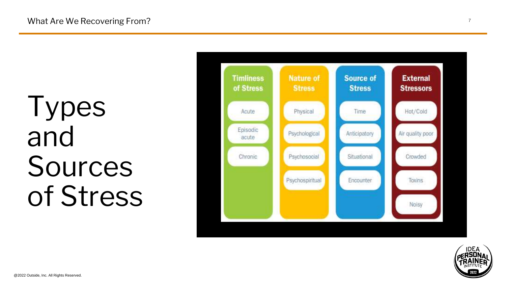# Types and Sources of Stress



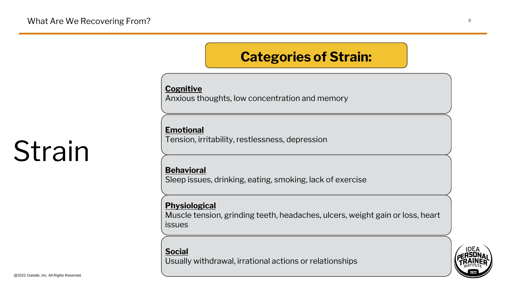# Strain

## **Categories of Strain:**

**Cognitive**

Anxious thoughts, low concentration and memory

**Emotional**

Tension, irritability, restlessness, depression

**Behavioral**

Sleep issues, drinking, eating, smoking, lack of exercise

**Physiological**

Muscle tension, grinding teeth, headaches, ulcers, weight gain or loss, heart

issues

**Social**

Usually withdrawal, irrational actions or relationships

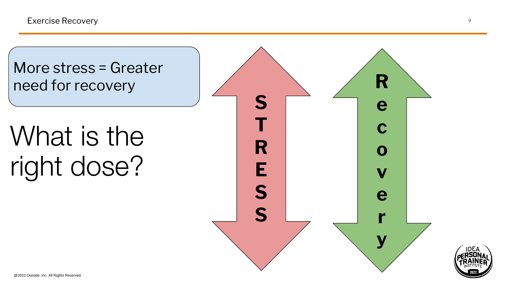# What is the right dose?

## More stress = Greater need for recovery



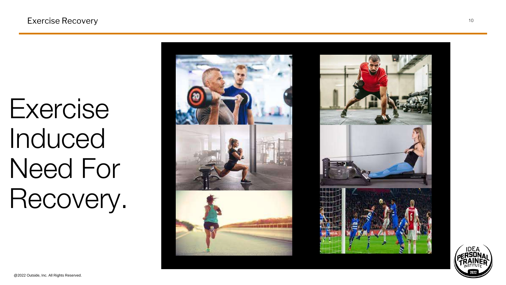Exercise Recovery 10

## Exercise Induced Need For Recovery.





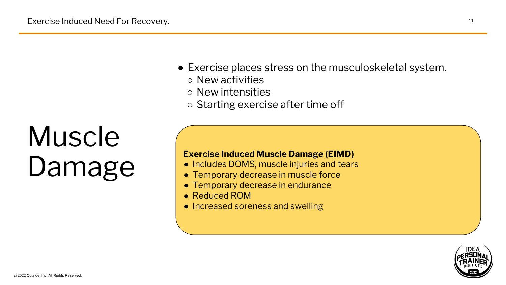# Muscle Damage

• Exercise places stress on the musculoskeletal system. ○ New activities ○ New intensities ○ Starting exercise after time off

Exercise Induced Need For Recovery.

### **Exercise Induced Muscle Damage (EIMD)**

- Includes DOMS, muscle injuries and tears
- Temporary decrease in muscle force
- Temporary decrease in endurance
- Reduced ROM
- Increased soreness and swelling

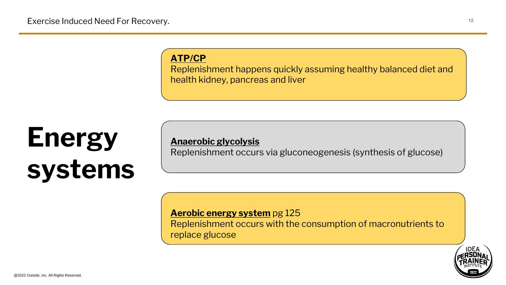## **Energy systems**

Exercise Induced Need For Recovery.

# **ATP/CP**

Replenishment happens quickly assuming healthy balanced diet and health kidney, pancreas and liver

**Anaerobic glycolysis** Replenishment occurs via gluconeogenesis (synthesis of glucose)

**Aerobic energy system** pg 125 replace glucose

@2022 Outside, Inc. All Rights Reserved.

Replenishment occurs with the consumption of macronutrients to

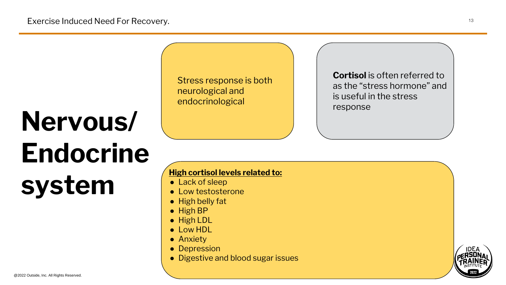# **Nervous/ Endocrine system**

Exercise Induced Need For Recovery.

Stress response is both neurological and endocrinological

**High cortisol levels related to:**

- Lack of sleep
- Low testosterone
- High belly fat
- High BP
- High LDL
- Low HDL
- Anxiety
- Depression
- Digestive and blood sugar issues



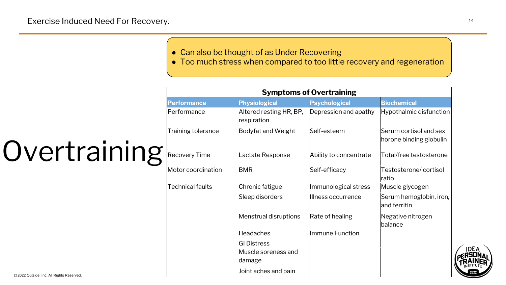## Overtraining  $R$ ecovery Time

@2022 Outside, Inc. All Rights Reserved.

#### • Can also be thought of as Under Recovering ● Too much stress when compared to too little recovery and regeneration

#### Exercise Induced Need For Recovery.

#### **Performance**

 $Performance$ 

 $\vert$ Training tolerance

 $Motor coordination$ 

 $\sf Technical$  faults



| <b>Symptoms of Overtraining</b>        |                        |                                                   |
|----------------------------------------|------------------------|---------------------------------------------------|
| <b>Physiological</b>                   | <b>Psychological</b>   | <b>Biochemical</b>                                |
| Altered resting HR, BP,<br>respiration | Depression and apathy  | Hypothalmic disfunction                           |
| <b>Bodyfat and Weight</b>              | Self-esteem            | Serum cortisol and sex<br>horone binding globulin |
| <b>Lactate Response</b>                | Ability to concentrate | Total/free testosterone                           |
| <b>BMR</b>                             | Self-efficacy          | Testosterone/cortisol<br>ratio                    |
| Chronic fatigue                        | Immunological stress   | Muscle glycogen                                   |
| Sleep disorders                        | Illness occurrence     | Serum hemoglobin, iron,<br>$ $ and ferritin       |
| Menstrual disruptions                  | Rate of healing        | Negative nitrogen<br>balance                      |
| Headaches                              | Immune Function        |                                                   |
| <b>GI Distress</b>                     |                        |                                                   |
| Muscle soreness and<br> damage         |                        |                                                   |
| Joint aches and pain                   |                        |                                                   |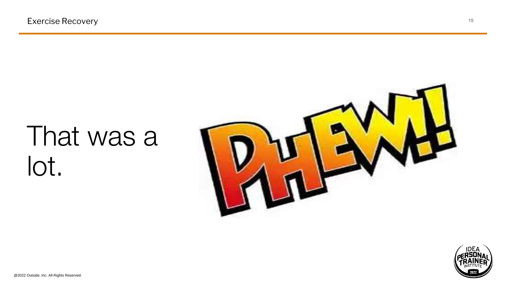@2022 Outside, Inc. All Rights Reserved.



Exercise Recovery 15

## That was a lot.

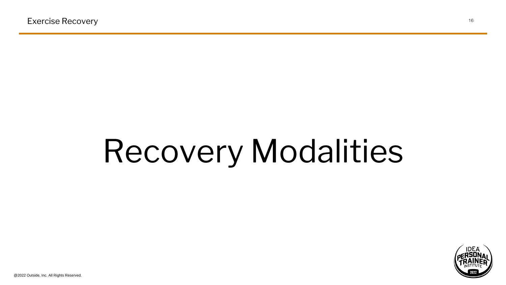# Recovery Modalities

@2022 Outside, Inc. All Rights Reserved.

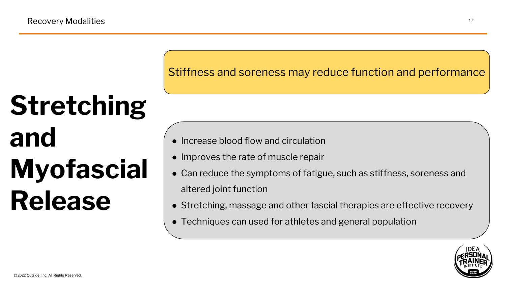# **Stretching and Myofascial Release**

## Stiffness and soreness may reduce function and performance

- Increase blood flow and circulation
- Improves the rate of muscle repair
- Can reduce the symptoms of fatigue, such as stiffness, soreness and
	- altered joint function
- Stretching, massage and other fascial therapies are effective recovery
- Techniques can used for athletes and general population



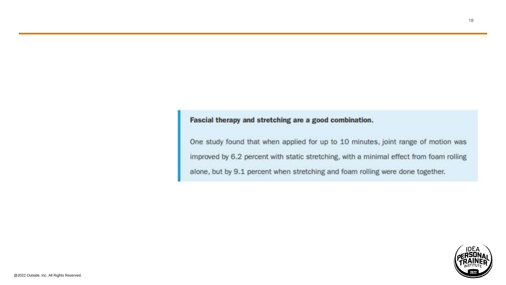#### Fascial therapy and stretching are a good combination.

One study found that when applied for up to 10 minutes, joint range of motion was improved by 6.2 percent with static stretching, with a minimal effect from foam rolling alone, but by 9.1 percent when stretching and foam rolling were done together.

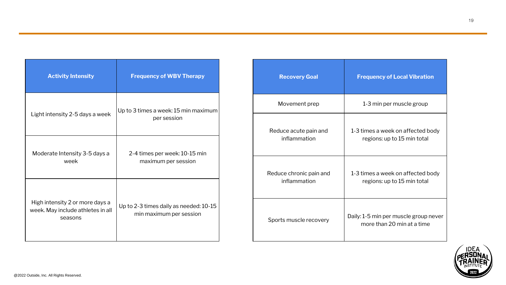| <b>Activity Intensity</b>                                                       | <b>Frequency of WBV Therapy</b>                                   |
|---------------------------------------------------------------------------------|-------------------------------------------------------------------|
| Light intensity 2-5 days a week                                                 | Up to 3 times a week: 15 min maximum<br>per session               |
| Moderate Intensity 3-5 days a<br>week                                           | 2-4 times per week: 10-15 min<br>maximum per session              |
| High intensity 2 or more days a<br>week. May include athletes in all<br>seasons | Up to 2-3 times daily as needed: 10-15<br>min maximum per session |

| <b>Recovery Goal</b>                    | <b>Frequency of Local Vibration</b>                                 |
|-----------------------------------------|---------------------------------------------------------------------|
| Movement prep                           | 1-3 min per muscle group                                            |
| Reduce acute pain and<br>inflammation   | 1-3 times a week on affected body<br>regions: up to 15 min total    |
| Reduce chronic pain and<br>inflammation | 1-3 times a week on affected body<br>regions: up to 15 min total    |
| Sports muscle recovery                  | Daily: 1-5 min per muscle group never<br>more than 20 min at a time |

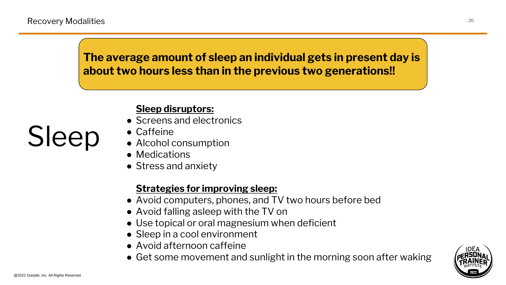# Sleep

## **Sleep disruptors:**

- Screens and electronics
- Caffeine
- Alcohol consumption
- Medications
- Stress and anxiety

- Avoid computers, phones, and TV two hours before bed
- Avoid falling asleep with the TV on
- Use topical or oral magnesium when deficient
- Sleep in a cool environment
- Avoid afternoon caffeine
- Get some movement and sunlight in the morning soon after waking





## **Strategies for improving sleep:**

## **The average amount of sleep an individual gets in present day is about two hours less than in the previous two generations!!**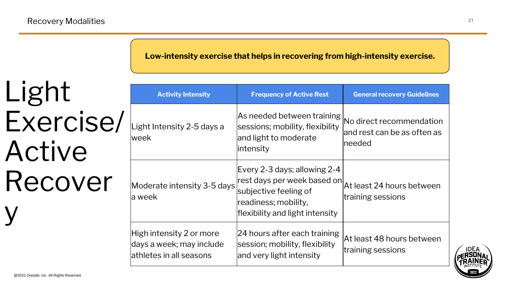# Light Exercise/ Active Recover y

**Activity Intensity** 

Light Intensity 2-5 days a week

Moderate intensity 3-5 days a week

| <b>Frequency of Active Rest</b>                                                                                                                   | <b>General recovery Guidelines</b>                                 |
|---------------------------------------------------------------------------------------------------------------------------------------------------|--------------------------------------------------------------------|
| As needed between training<br>sessions; mobility, flexibility<br>and light to moderate<br>lintensity                                              | No direct recommendation<br>and rest can be as often as<br>Ineeded |
| Every 2-3 days; allowing 2-4<br> rest days per week based on <br>subjective feeling of<br>readiness; mobility,<br>flexibility and light intensity | At least 24 hours between<br>training sessions                     |
| 24 hours after each training<br>session; mobility, flexibility<br>and very light intensity                                                        | At least 48 hours between<br>training sessions                     |



High intensity 2 or more days a week; may include athletes in all seasons

#### **Low-intensity exercise that helps in recovering from high-intensity exercise.**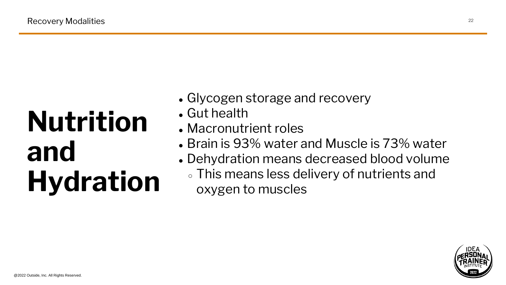# **Nutrition and Hydration**

- 
- Glycogen storage and recovery • Gut health
- Macronutrient roles
- Brain is 93% water and Muscle is 73% water • Dehydration means decreased blood volume ○ This means less delivery of nutrients and oxygen to muscles
- 
- 

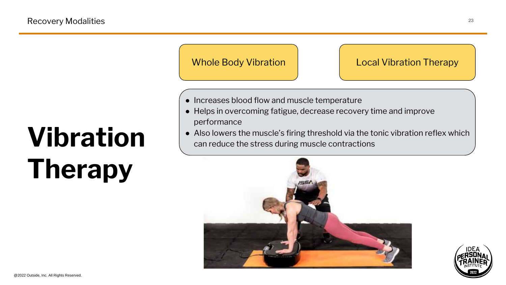# **Vibration Therapy**





- Increases blood flow and muscle temperature
- Helps in overcoming fatigue, decrease recovery time and improve performance
- Also lowers the muscle's firing threshold via the tonic vibration reflex which can reduce the stress during muscle contractions

## Local Vibration Therapy

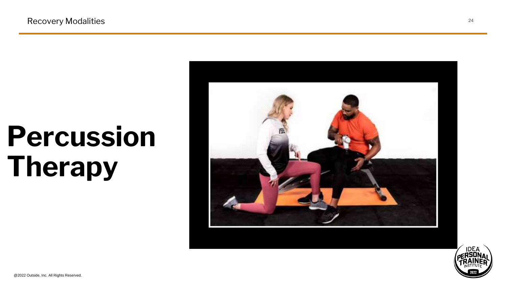Recovery Modalities 24

## **Percussion Therapy**

@2022 Outside, Inc. All Rights Reserved.



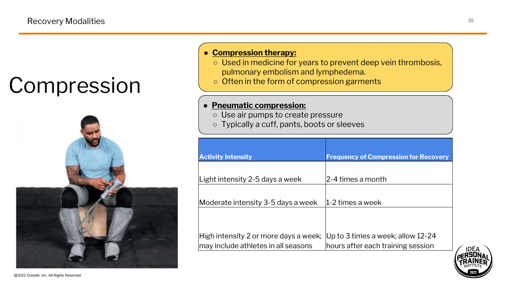## Compression



**Activity Inte** Light intens  $|$ Moderate in  $|$ High intensi  $\vert$ may include

Recovery Modalities <sup>25</sup>

| nsity                     | <b>Frequency of Compression for Recovery</b>                  |
|---------------------------|---------------------------------------------------------------|
|                           |                                                               |
| sity 2-5 days a week      | l2-4 times a month                                            |
|                           |                                                               |
| ntensity 3-5 days a week  | 1-2 times a week                                              |
|                           |                                                               |
|                           |                                                               |
|                           | ity 2 or more days a week;  Up to 3 times a week; allow 12-24 |
| e athletes in all seasons | hours after each training session                             |



#### ● **Compression therapy:**

○ Used in medicine for years to prevent deep vein thrombosis, pulmonary embolism and lymphedema. ○ Often in the form of compression garments

#### ● **Pneumatic compression:**

○ Use air pumps to create pressure ○ Typically a cuff, pants, boots or sleeves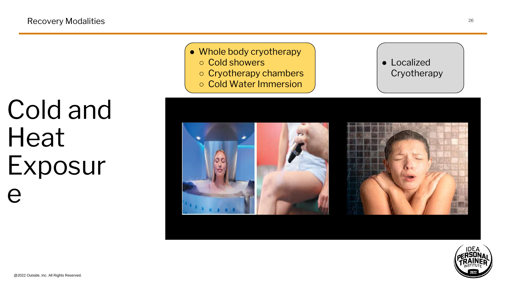## Cold and Heat Exposur e



• Whole body cryotherapy ○ Cryotherapy chambers ○ Cold Water Immersion

### ● Localized **Cryotherapy**





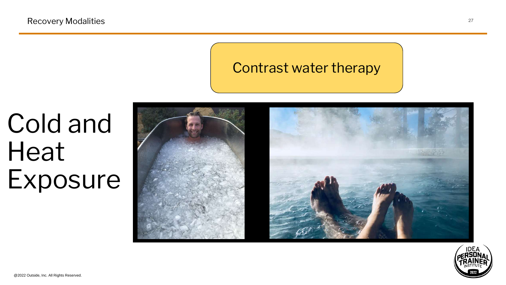## Cold and Heat Exposure



## Contrast water therapy

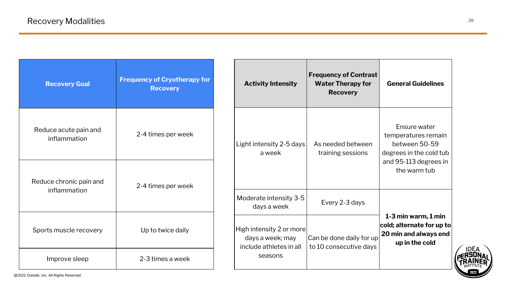| <b>Activity Intensity</b>                                                          | <b>Frequency of Contrast</b><br><b>Water Therapy for</b><br><b>Recovery</b> | <b>General Guidelines</b>                                                                                                |
|------------------------------------------------------------------------------------|-----------------------------------------------------------------------------|--------------------------------------------------------------------------------------------------------------------------|
| Light intensity 2-5 days<br>a week                                                 | As needed between<br>training sessions                                      | Ensure water<br>temperatures remain<br>between 50-59<br>degrees in the cold tub<br>and 95-113 degrees in<br>the warm tub |
| Moderate intensity 3-5<br>days a week                                              | Every 2-3 days                                                              |                                                                                                                          |
| High intensity 2 or more<br>days a week; may<br>include athletes in all<br>seasons | Can be done daily for up<br>to 10 consecutive days                          | 1-3 min warm, 1 min<br>cold; alternate for up to<br>20 min and always end<br>up in the cold                              |



| <b>Recovery Goal</b>                    | <b>Frequency of Cryotherapy for</b><br><b>Recovery</b> |
|-----------------------------------------|--------------------------------------------------------|
| Reduce acute pain and<br>inflammation   | 2-4 times per week                                     |
| Reduce chronic pain and<br>inflammation | 2-4 times per week                                     |
| Sports muscle recovery                  | Up to twice daily                                      |
| Improve sleep                           | 2-3 times a week                                       |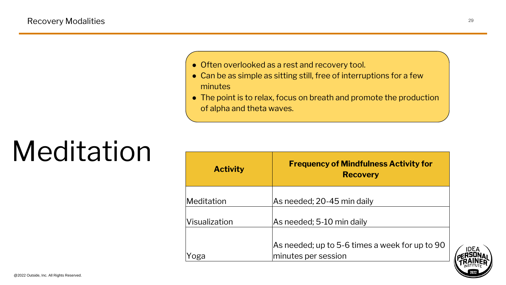● Often overlooked as a rest and recovery tool. • Can be as simple as sitting still, free of interruptions for a few

# Meditation

**Activit** 

 $M$ editation

Visualization

#### Recovery Modalities <sup>29</sup>

• The point is to relax, focus on breath and promote the production of alpha and theta waves.



| <b>CV</b> | <b>Frequency of Mindfulness Activity for</b><br><b>Recovery</b>       |
|-----------|-----------------------------------------------------------------------|
|           | As needed; 20-45 min daily                                            |
|           | As needed; 5-10 min daily                                             |
|           | As needed; up to 5-6 times a week for up to 90<br>minutes per session |



Yoga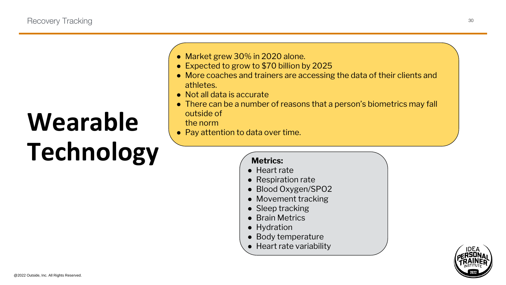## Wearable **Technology**

• Market grew 30% in 2020 alone. ● Expected to grow to \$70 billion by 2025 ● More coaches and trainers are accessing the data of their clients and

• There can be a number of reasons that a person's biometrics may fall

● Pay attention to data over time.

- Heart rate
- Respiration rate
- Blood Oxygen/SPO2
- Movement tracking
- Sleep tracking
- Brain Metrics
- Hydration
- Body temperature
- Heart rate variability



- 
- 
- athletes.
- Not all data is accurate
- outside of the norm
- 

#### **Metrics:**